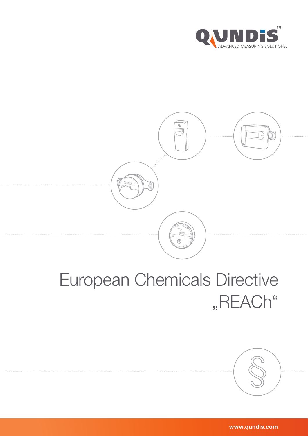



## European Chemicals Directive "REACh"



www.qundis.com